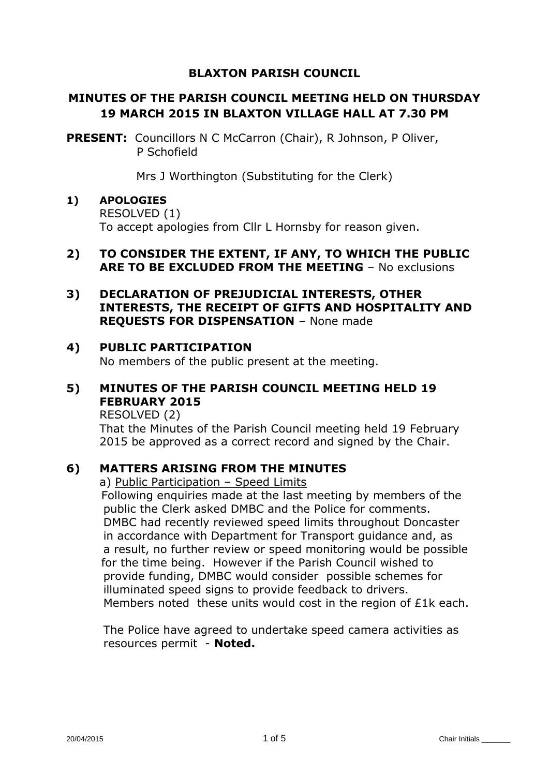#### **BLAXTON PARISH COUNCIL**

# **MINUTES OF THE PARISH COUNCIL MEETING HELD ON THURSDAY 19 MARCH 2015 IN BLAXTON VILLAGE HALL AT 7.30 PM**

**PRESENT:** Councillors N C McCarron (Chair), R Johnson, P Oliver, P Schofield

Mrs J Worthington (Substituting for the Clerk)

# **1) APOLOGIES**

RESOLVED (1) To accept apologies from Cllr L Hornsby for reason given.

#### **2) TO CONSIDER THE EXTENT, IF ANY, TO WHICH THE PUBLIC ARE TO BE EXCLUDED FROM THE MEETING** – No exclusions

# **3) DECLARATION OF PREJUDICIAL INTERESTS, OTHER INTERESTS, THE RECEIPT OF GIFTS AND HOSPITALITY AND REQUESTS FOR DISPENSATION** – None made

#### **4) PUBLIC PARTICIPATION**

No members of the public present at the meeting.

# **5) MINUTES OF THE PARISH COUNCIL MEETING HELD 19 FEBRUARY 2015**

RESOLVED (2)

That the Minutes of the Parish Council meeting held 19 February 2015 be approved as a correct record and signed by the Chair.

#### **6) MATTERS ARISING FROM THE MINUTES**

a) Public Participation – Speed Limits

 Following enquiries made at the last meeting by members of the public the Clerk asked DMBC and the Police for comments. DMBC had recently reviewed speed limits throughout Doncaster in accordance with Department for Transport guidance and, as a result, no further review or speed monitoring would be possible for the time being. However if the Parish Council wished to provide funding, DMBC would consider possible schemes for illuminated speed signs to provide feedback to drivers. Members noted these units would cost in the region of £1k each.

The Police have agreed to undertake speed camera activities as resources permit - **Noted.**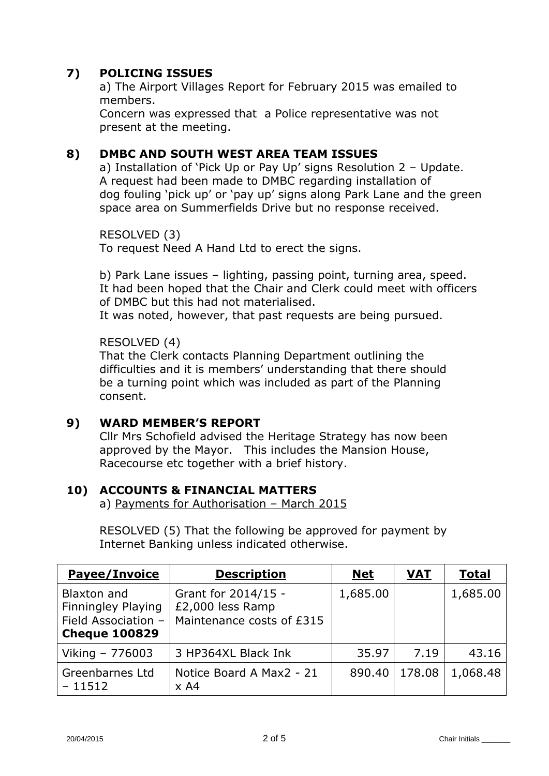# **7) POLICING ISSUES**

a) The Airport Villages Report for February 2015 was emailed to members.

Concern was expressed that a Police representative was not present at the meeting.

### **8) DMBC AND SOUTH WEST AREA TEAM ISSUES**

a) Installation of 'Pick Up or Pay Up' signs Resolution 2 – Update. A request had been made to DMBC regarding installation of dog fouling 'pick up' or 'pay up' signs along Park Lane and the green space area on Summerfields Drive but no response received.

RESOLVED (3) To request Need A Hand Ltd to erect the signs.

b) Park Lane issues – lighting, passing point, turning area, speed. It had been hoped that the Chair and Clerk could meet with officers of DMBC but this had not materialised.

It was noted, however, that past requests are being pursued.

#### RESOLVED (4)

That the Clerk contacts Planning Department outlining the difficulties and it is members' understanding that there should be a turning point which was included as part of the Planning consent.

#### **9) WARD MEMBER'S REPORT**

Cllr Mrs Schofield advised the Heritage Strategy has now been approved by the Mayor. This includes the Mansion House, Racecourse etc together with a brief history.

#### **10) ACCOUNTS & FINANCIAL MATTERS**

a) Payments for Authorisation – March 2015

RESOLVED (5) That the following be approved for payment by Internet Banking unless indicated otherwise.

| <b>Payee/Invoice</b>                                                             | <b>Description</b>                                                   | <b>Net</b> | <b>VAT</b> | <b>Total</b> |
|----------------------------------------------------------------------------------|----------------------------------------------------------------------|------------|------------|--------------|
| Blaxton and<br>Finningley Playing<br>Field Association -<br><b>Cheque 100829</b> | Grant for 2014/15 -<br>£2,000 less Ramp<br>Maintenance costs of £315 | 1,685.00   |            | 1,685.00     |
| Viking - 776003                                                                  | 3 HP364XL Black Ink                                                  | 35.97      | 7.19       | 43.16        |
| Greenbarnes Ltd<br>$-11512$                                                      | Notice Board A Max2 - 21<br>$\times$ A4                              | 890.40     | 178.08     | 1,068.48     |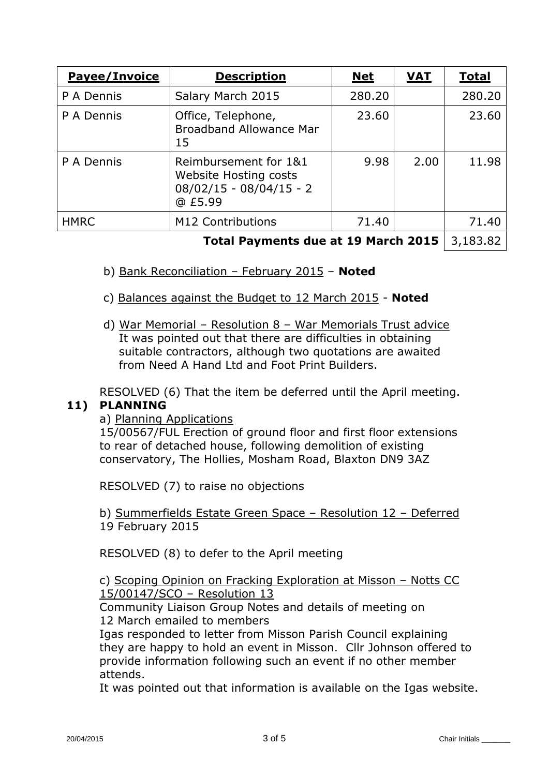| <b>Payee/Invoice</b> | <b>Description</b>                                                                     | <b>Net</b> | <b>VAT</b> | <b>Total</b> |
|----------------------|----------------------------------------------------------------------------------------|------------|------------|--------------|
| P A Dennis           | Salary March 2015                                                                      | 280,20     |            | 280.20       |
| P A Dennis           | Office, Telephone,<br><b>Broadband Allowance Mar</b><br>15                             | 23.60      |            | 23.60        |
| P A Dennis           | Reimbursement for 1&1<br>Website Hosting costs<br>$08/02/15 - 08/04/15 - 2$<br>@ £5.99 | 9.98       | 2.00       | 11.98        |
| <b>HMRC</b>          | M12 Contributions                                                                      | 71.40      |            | 71.40        |
|                      |                                                                                        |            |            |              |

#### **Total Payments due at 19 March 2015** | 3,183.82 |

- b) Bank Reconciliation February 2015 **Noted**
- c) Balances against the Budget to 12 March 2015 **Noted**
- d) War Memorial Resolution 8 War Memorials Trust advice It was pointed out that there are difficulties in obtaining suitable contractors, although two quotations are awaited from Need A Hand Ltd and Foot Print Builders.

RESOLVED (6) That the item be deferred until the April meeting.

#### **11) PLANNING**

#### a) Planning Applications

15/00567/FUL Erection of ground floor and first floor extensions to rear of detached house, following demolition of existing conservatory, The Hollies, Mosham Road, Blaxton DN9 3AZ

RESOLVED (7) to raise no objections

b) Summerfields Estate Green Space – Resolution 12 – Deferred 19 February 2015

RESOLVED (8) to defer to the April meeting

c) Scoping Opinion on Fracking Exploration at Misson – Notts CC 15/00147/SCO – Resolution 13

Community Liaison Group Notes and details of meeting on 12 March emailed to members

Igas responded to letter from Misson Parish Council explaining they are happy to hold an event in Misson. Cllr Johnson offered to provide information following such an event if no other member attends.

It was pointed out that information is available on the Igas website.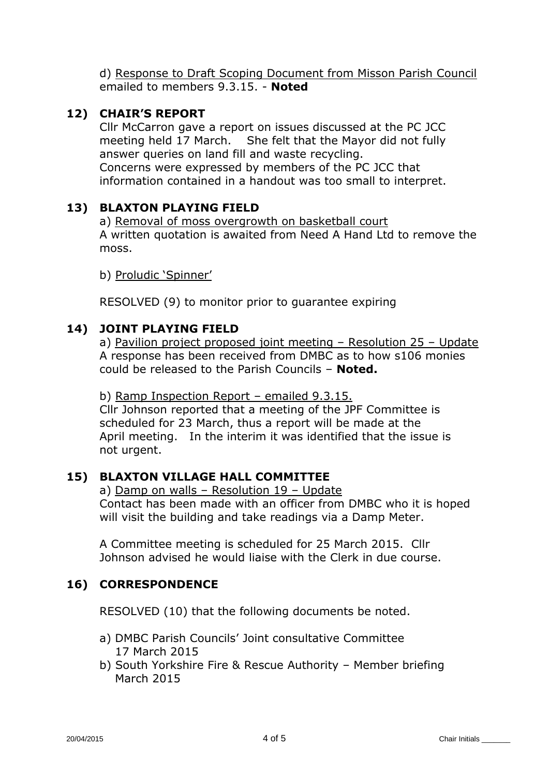d) Response to Draft Scoping Document from Misson Parish Council emailed to members 9.3.15. - **Noted**

# **12) CHAIR'S REPORT**

Cllr McCarron gave a report on issues discussed at the PC JCC meeting held 17 March. She felt that the Mayor did not fully answer queries on land fill and waste recycling. Concerns were expressed by members of the PC JCC that information contained in a handout was too small to interpret.

# **13) BLAXTON PLAYING FIELD**

a) Removal of moss overgrowth on basketball court A written quotation is awaited from Need A Hand Ltd to remove the moss.

b) Proludic 'Spinner'

RESOLVED (9) to monitor prior to guarantee expiring

# **14) JOINT PLAYING FIELD**

a) Pavilion project proposed joint meeting – Resolution 25 – Update A response has been received from DMBC as to how s106 monies could be released to the Parish Councils – **Noted.**

b) Ramp Inspection Report – emailed 9.3.15.

Cllr Johnson reported that a meeting of the JPF Committee is scheduled for 23 March, thus a report will be made at the April meeting. In the interim it was identified that the issue is not urgent.

#### **15) BLAXTON VILLAGE HALL COMMITTEE**

a) Damp on walls – Resolution 19 – Update Contact has been made with an officer from DMBC who it is hoped will visit the building and take readings via a Damp Meter.

A Committee meeting is scheduled for 25 March 2015. Cllr Johnson advised he would liaise with the Clerk in due course.

#### **16) CORRESPONDENCE**

RESOLVED (10) that the following documents be noted.

- a) DMBC Parish Councils' Joint consultative Committee 17 March 2015
- b) South Yorkshire Fire & Rescue Authority Member briefing March 2015